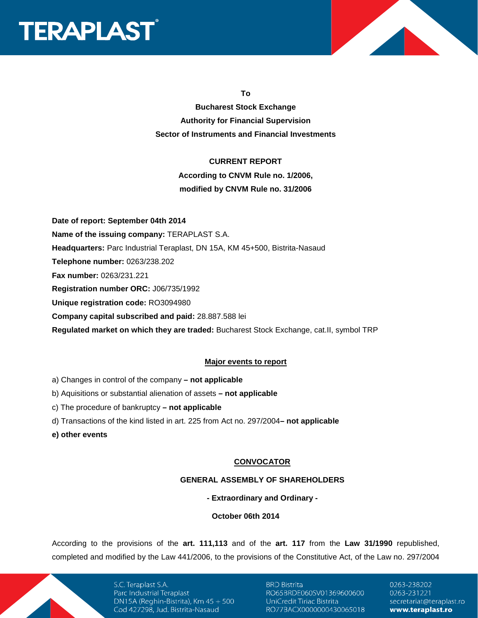



**To** 

**Bucharest Stock Exchange Authority for Financial Supervision Sector of Instruments and Financial Investments** 

### **CURRENT REPORT**

**According to CNVM Rule no. 1/2006, modified by CNVM Rule no. 31/2006** 

**Date of report: September 04th 2014 Name of the issuing company:** TERAPLAST S.A. **Headquarters:** Parc Industrial Teraplast, DN 15A, KM 45+500, Bistrita-Nasaud **Telephone number:** 0263/238.202 **Fax number:** 0263/231.221 **Registration number ORC:** J06/735/1992 **Unique registration code:** RO3094980 **Company capital subscribed and paid:** 28.887.588 lei

**Regulated market on which they are traded:** Bucharest Stock Exchange, cat.II, symbol TRP

### **Major events to report**

- a) Changes in control of the company **not applicable**
- b) Aquisitions or substantial alienation of assets **not applicable**
- c) The procedure of bankruptcy **not applicable**
- d) Transactions of the kind listed in art. 225 from Act no. 297/2004 **not applicable**

**e) other events** 

### **CONVOCATOR**

#### **GENERAL ASSEMBLY OF SHAREHOLDERS**

**- Extraordinary and Ordinary -** 

### **October 06th 2014**

According to the provisions of the **art. 111,113** and of the **art. 117** from the **Law 31/1990** republished, completed and modified by the Law 441/2006, to the provisions of the Constitutive Act, of the Law no. 297/2004

> S.C. Teraplast S.A. Parc Industrial Teraplast DN15A (Reghin-Bistrita), Km  $45 + 500$ Cod 427298, Jud. Bistrita-Nasaud

**BRD Bistrita** RO65BRDE060SV01369600600 UniCredit Tiriac Bistrita RO77BACX0000000430065018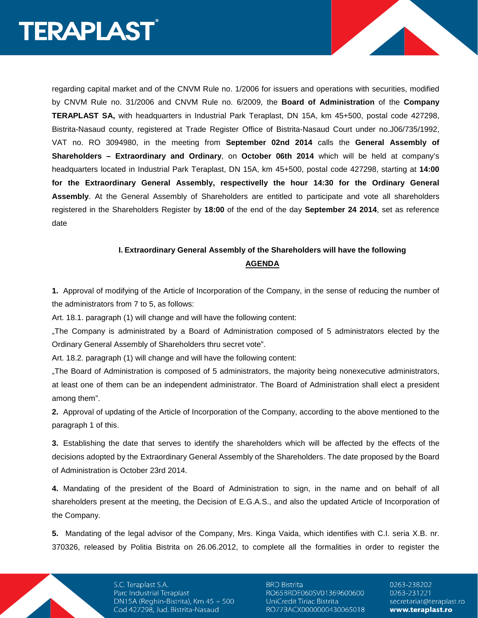regarding capital market and of the CNVM Rule no. 1/2006 for issuers and operations with securities, modified by CNVM Rule no. 31/2006 and CNVM Rule no. 6/2009, the **Board of Administration** of the **Company TERAPLAST SA,** with headquarters in Industrial Park Teraplast, DN 15A, km 45+500, postal code 427298, Bistrita-Nasaud county, registered at Trade Register Office of Bistrita-Nasaud Court under no.J06/735/1992, VAT no. RO 3094980, in the meeting from **September 02nd 2014** calls the **General Assembly of Shareholders – Extraordinary and Ordinary**, on **October 06th 2014** which will be held at company's headquarters located in Industrial Park Teraplast, DN 15A, km 45+500, postal code 427298, starting at **14:00 for the Extraordinary General Assembly, respectivelly the hour 14:30 for the Ordinary General Assembly**. At the General Assembly of Shareholders are entitled to participate and vote all shareholders registered in the Shareholders Register by **18:00** of the end of the day **September 24 2014**, set as reference date

## **I. Extraordinary General Assembly of the Shareholders will have the following AGENDA**

**1.** Approval of modifying of the Article of Incorporation of the Company, in the sense of reducing the number of the administrators from 7 to 5, as follows:

Art. 18.1. paragraph (1) will change and will have the following content:

"The Company is administrated by a Board of Administration composed of 5 administrators elected by the Ordinary General Assembly of Shareholders thru secret vote".

Art. 18.2. paragraph (1) will change and will have the following content:

"The Board of Administration is composed of 5 administrators, the majority being nonexecutive administrators, at least one of them can be an independent administrator. The Board of Administration shall elect a president among them".

**2.** Approval of updating of the Article of Incorporation of the Company, according to the above mentioned to the paragraph 1 of this.

**3.** Establishing the date that serves to identify the shareholders which will be affected by the effects of the decisions adopted by the Extraordinary General Assembly of the Shareholders. The date proposed by the Board of Administration is October 23rd 2014.

**4.** Mandating of the president of the Board of Administration to sign, in the name and on behalf of all shareholders present at the meeting, the Decision of E.G.A.S., and also the updated Article of Incorporation of the Company.

**5.** Mandating of the legal advisor of the Company, Mrs. Kinga Vaida, which identifies with C.I. seria X.B. nr. 370326, released by Politia Bistrita on 26.06.2012, to complete all the formalities in order to register the

> S.C. Teraplast S.A. Parc Industrial Teraplast DN15A (Reghin-Bistrita), Km  $45 + 500$ Cod 427298, Jud. Bistrita-Nasaud

**BRD Bistrita** RO65BRDE060SV01369600600 UniCredit Tiriac Bistrita RO77BACX0000000430065018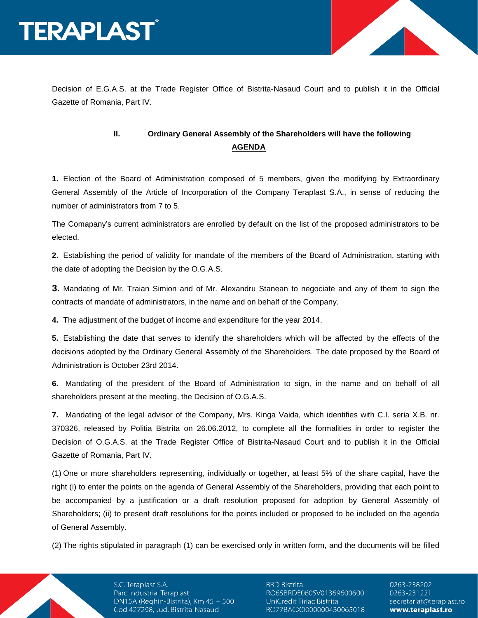



Decision of E.G.A.S. at the Trade Register Office of Bistrita-Nasaud Court and to publish it in the Official Gazette of Romania, Part IV.

## **II. Ordinary General Assembly of the Shareholders will have the following AGENDA**

**1.** Election of the Board of Administration composed of 5 members, given the modifying by Extraordinary General Assembly of the Article of Incorporation of the Company Teraplast S.A., in sense of reducing the number of administrators from 7 to 5.

The Comapany's current administrators are enrolled by default on the list of the proposed administrators to be elected.

**2.** Establishing the period of validity for mandate of the members of the Board of Administration, starting with the date of adopting the Decision by the O.G.A.S.

**3.** Mandating of Mr. Traian Simion and of Mr. Alexandru Stanean to negociate and any of them to sign the contracts of mandate of administrators, in the name and on behalf of the Company.

**4.** The adjustment of the budget of income and expenditure for the year 2014.

**5.** Establishing the date that serves to identify the shareholders which will be affected by the effects of the decisions adopted by the Ordinary General Assembly of the Shareholders. The date proposed by the Board of Administration is October 23rd 2014.

**6.** Mandating of the president of the Board of Administration to sign, in the name and on behalf of all shareholders present at the meeting, the Decision of O.G.A.S.

**7.** Mandating of the legal advisor of the Company, Mrs. Kinga Vaida, which identifies with C.I. seria X.B. nr. 370326, released by Politia Bistrita on 26.06.2012, to complete all the formalities in order to register the Decision of O.G.A.S. at the Trade Register Office of Bistrita-Nasaud Court and to publish it in the Official Gazette of Romania, Part IV.

(1) One or more shareholders representing, individually or together, at least 5% of the share capital, have the right (i) to enter the points on the agenda of General Assembly of the Shareholders, providing that each point to be accompanied by a justification or a draft resolution proposed for adoption by General Assembly of Shareholders; (ii) to present draft resolutions for the points included or proposed to be included on the agenda of General Assembly.

(2) The rights stipulated in paragraph (1) can be exercised only in written form, and the documents will be filled

S.C. Teraplast S.A. Parc Industrial Teraplast DN15A (Reghin-Bistrita), Km  $45 + 500$ Cod 427298, Jud. Bistrita-Nasaud

**BRD Bistrita** RO65BRDE060SV01369600600 UniCredit Tiriac Bistrita RO77BACX0000000430065018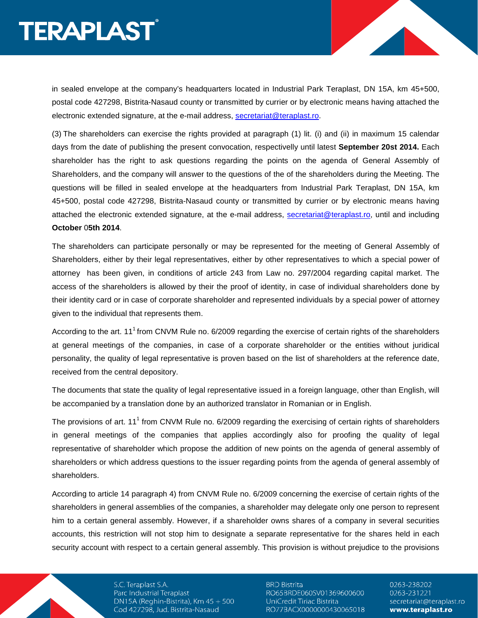in sealed envelope at the company's headquarters located in Industrial Park Teraplast, DN 15A, km 45+500, postal code 427298, Bistrita-Nasaud county or transmitted by currier or by electronic means having attached the electronic extended signature, at the e-mail address, secretariat@teraplast.ro.

(3) The shareholders can exercise the rights provided at paragraph (1) lit. (i) and (ii) in maximum 15 calendar days from the date of publishing the present convocation, respectivelly until latest **September 20st 2014.** Each shareholder has the right to ask questions regarding the points on the agenda of General Assembly of Shareholders, and the company will answer to the questions of the of the shareholders during the Meeting. The questions will be filled in sealed envelope at the headquarters from Industrial Park Teraplast, DN 15A, km 45+500, postal code 427298, Bistrita-Nasaud county or transmitted by currier or by electronic means having attached the electronic extended signature, at the e-mail address, secretariat@teraplast.ro, until and including **October** 0**5th 2014**.

The shareholders can participate personally or may be represented for the meeting of General Assembly of Shareholders, either by their legal representatives, either by other representatives to which a special power of attorney has been given, in conditions of article 243 from Law no. 297/2004 regarding capital market. The access of the shareholders is allowed by their the proof of identity, in case of individual shareholders done by their identity card or in case of corporate shareholder and represented individuals by a special power of attorney given to the individual that represents them.

According to the art. 11<sup>1</sup> from CNVM Rule no.  $6/2009$  regarding the exercise of certain rights of the shareholders at general meetings of the companies, in case of a corporate shareholder or the entities without juridical personality, the quality of legal representative is proven based on the list of shareholders at the reference date, received from the central depository.

The documents that state the quality of legal representative issued in a foreign language, other than English, will be accompanied by a translation done by an authorized translator in Romanian or in English.

The provisions of art. 11<sup>1</sup> from CNVM Rule no. 6/2009 regarding the exercising of certain rights of shareholders in general meetings of the companies that applies accordingly also for proofing the quality of legal representative of shareholder which propose the addition of new points on the agenda of general assembly of shareholders or which address questions to the issuer regarding points from the agenda of general assembly of shareholders.

According to article 14 paragraph 4) from CNVM Rule no. 6/2009 concerning the exercise of certain rights of the shareholders in general assemblies of the companies, a shareholder may delegate only one person to represent him to a certain general assembly. However, if a shareholder owns shares of a company in several securities accounts, this restriction will not stop him to designate a separate representative for the shares held in each security account with respect to a certain general assembly. This provision is without prejudice to the provisions

> S.C. Teraplast S.A. Parc Industrial Teraplast DN15A (Reghin-Bistrita), Km  $45 + 500$ Cod 427298, Jud. Bistrita-Nasaud

**BRD Bistrita** RO65BRDE060SV01369600600 UniCredit Tiriac Bistrita RO77BACX0000000430065018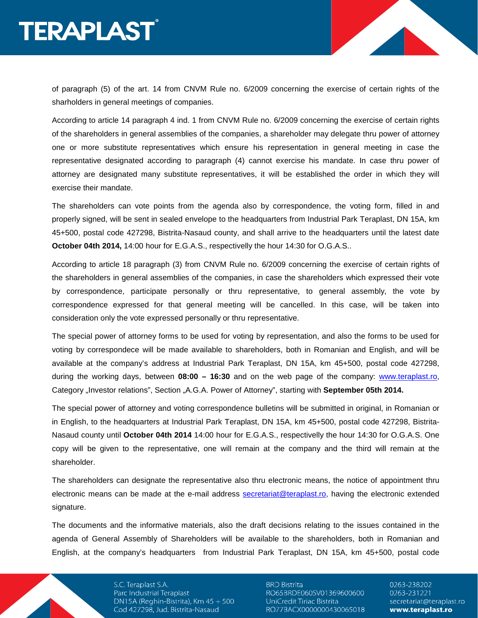of paragraph (5) of the art. 14 from CNVM Rule no. 6/2009 concerning the exercise of certain rights of the sharholders in general meetings of companies.

According to article 14 paragraph 4 ind. 1 from CNVM Rule no. 6/2009 concerning the exercise of certain rights of the shareholders in general assemblies of the companies, a shareholder may delegate thru power of attorney one or more substitute representatives which ensure his representation in general meeting in case the representative designated according to paragraph (4) cannot exercise his mandate. In case thru power of attorney are designated many substitute representatives, it will be established the order in which they will exercise their mandate.

The shareholders can vote points from the agenda also by correspondence, the voting form, filled in and properly signed, will be sent in sealed envelope to the headquarters from Industrial Park Teraplast, DN 15A, km 45+500, postal code 427298, Bistrita-Nasaud county, and shall arrive to the headquarters until the latest date **October 04th 2014,** 14:00 hour for E.G.A.S., respectivelly the hour 14:30 for O.G.A.S..

According to article 18 paragraph (3) from CNVM Rule no. 6/2009 concerning the exercise of certain rights of the shareholders in general assemblies of the companies, in case the shareholders which expressed their vote by correspondence, participate personally or thru representative, to general assembly, the vote by correspondence expressed for that general meeting will be cancelled. In this case, will be taken into consideration only the vote expressed personally or thru representative.

The special power of attorney forms to be used for voting by representation, and also the forms to be used for voting by correspondece will be made available to shareholders, both in Romanian and English, and will be available at the company's address at Industrial Park Teraplast, DN 15A, km 45+500, postal code 427298, during the working days, between **08:00 – 16:30** and on the web page of the company: www.teraplast.ro, Category "Investor relations", Section "A.G.A. Power of Attorney", starting with **September 05th 2014.** 

The special power of attorney and voting correspondence bulletins will be submitted in original, in Romanian or in English, to the headquarters at Industrial Park Teraplast, DN 15A, km 45+500, postal code 427298, Bistrita-Nasaud county until **October 04th 2014** 14:00 hour for E.G.A.S., respectivelly the hour 14:30 for O.G.A.S. One copy will be given to the representative, one will remain at the company and the third will remain at the shareholder.

The shareholders can designate the representative also thru electronic means, the notice of appointment thru electronic means can be made at the e-mail address secretariat@teraplast.ro, having the electronic extended signature.

The documents and the informative materials, also the draft decisions relating to the issues contained in the agenda of General Assembly of Shareholders will be available to the shareholders, both in Romanian and English, at the company's headquarters from Industrial Park Teraplast, DN 15A, km 45+500, postal code

> S.C. Teraplast S.A. Parc Industrial Teraplast DN15A (Reghin-Bistrita), Km  $45 + 500$ Cod 427298, Jud. Bistrita-Nasaud

**BRD Bistrita** RO65BRDE060SV01369600600 UniCredit Tiriac Bistrita RO77BACX0000000430065018